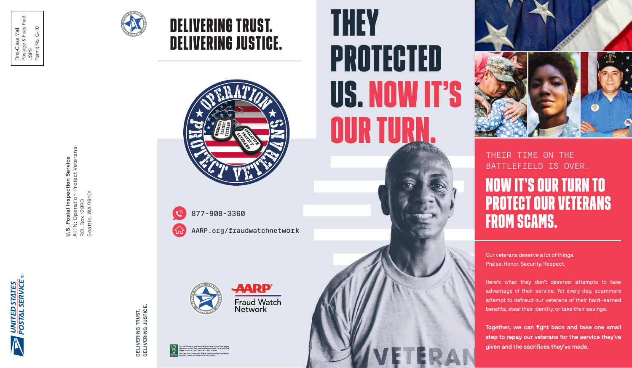

**U.S. Postal Inspection Service**<br>ATTN: Operation Protect Veterans<br>P.O. Box 12890<br>Seattle, WA 98101 ATTN: Operation Protect Veterans **U.S. Postal Inspection Service** Seattle, WA 98101 P.O. Box 12890

> DELIVERING TRUST.<br>DELIVERING JUSTICE. **DELIVERING JUSTICE. DELIVERING TRUST.**







877-908-3360

delivering trust.

delivering justice.

AARP.org/fraudwatchnetwork

**AARP®** 







THEIR TIME ON THE BATTLEFIELD IS OVER.

## now it's our turn to protect our veterans from scams.

Our veterans deserve a lot of things. Praise. Honor. Security. Respect.

Here's what they don't deserve: attempts to take advantage of their service. Yet every day, scammers attempt to defraud our veterans of their hard-earned benefits, steal their identity, or take their savings.

**Together, we can fight back and take one small step to repay our veterans for the service they've given and the sacrifices they've made.**